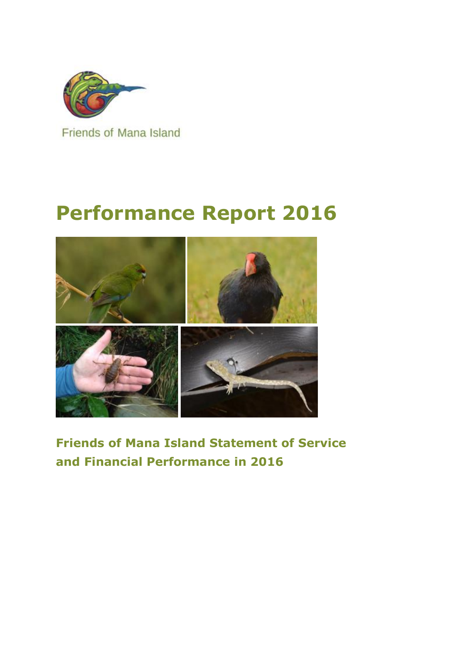

**Friends of Mana Island** 

# **Performance Report 2016**



**Friends of Mana Island Statement of Service and Financial Performance in 2016**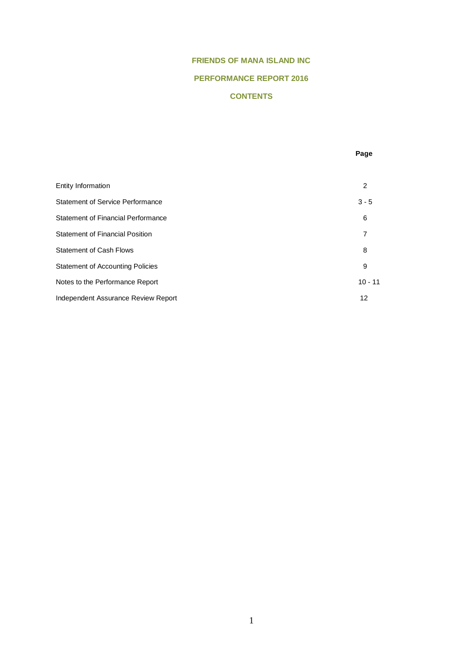# **FRIENDS OF MANA ISLAND INC**

# **PERFORMANCE REPORT 2016**

# **CONTENTS**

|                                         | Page      |
|-----------------------------------------|-----------|
|                                         |           |
| Entity Information                      | 2         |
| Statement of Service Performance        | $3 - 5$   |
| Statement of Financial Performance      | 6         |
| <b>Statement of Financial Position</b>  | 7         |
| <b>Statement of Cash Flows</b>          | 8         |
| <b>Statement of Accounting Policies</b> | 9         |
| Notes to the Performance Report         | $10 - 11$ |
| Independent Assurance Review Report     | 12        |
|                                         |           |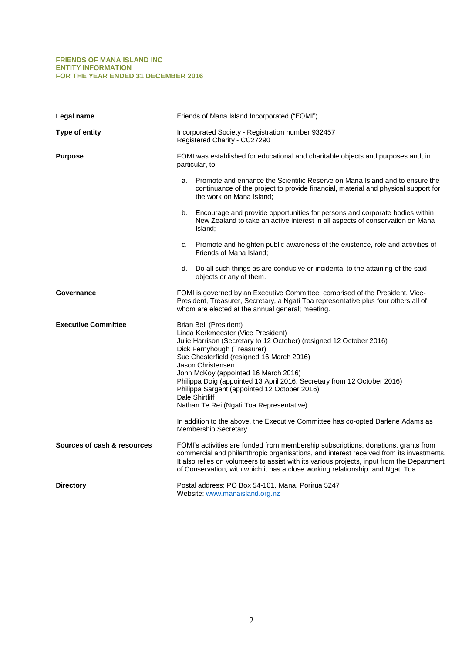#### **FRIENDS OF MANA ISLAND INC ENTITY INFORMATION FOR THE YEAR ENDED 31 DECEMBER 2016**

| Legal name                  | Friends of Mana Island Incorporated ("FOMI")                                                                                                                                                                                                                                                                                                                                                                                                                                                                                                                    |  |  |  |  |
|-----------------------------|-----------------------------------------------------------------------------------------------------------------------------------------------------------------------------------------------------------------------------------------------------------------------------------------------------------------------------------------------------------------------------------------------------------------------------------------------------------------------------------------------------------------------------------------------------------------|--|--|--|--|
| Type of entity              | Incorporated Society - Registration number 932457<br>Registered Charity - CC27290                                                                                                                                                                                                                                                                                                                                                                                                                                                                               |  |  |  |  |
| <b>Purpose</b>              | FOMI was established for educational and charitable objects and purposes and, in<br>particular, to:                                                                                                                                                                                                                                                                                                                                                                                                                                                             |  |  |  |  |
|                             | Promote and enhance the Scientific Reserve on Mana Island and to ensure the<br>a.<br>continuance of the project to provide financial, material and physical support for<br>the work on Mana Island;                                                                                                                                                                                                                                                                                                                                                             |  |  |  |  |
|                             | b.<br>Encourage and provide opportunities for persons and corporate bodies within<br>New Zealand to take an active interest in all aspects of conservation on Mana<br>Island;                                                                                                                                                                                                                                                                                                                                                                                   |  |  |  |  |
|                             | Promote and heighten public awareness of the existence, role and activities of<br>c.<br>Friends of Mana Island;                                                                                                                                                                                                                                                                                                                                                                                                                                                 |  |  |  |  |
|                             | d. Do all such things as are conducive or incidental to the attaining of the said<br>objects or any of them.                                                                                                                                                                                                                                                                                                                                                                                                                                                    |  |  |  |  |
| Governance                  | FOMI is governed by an Executive Committee, comprised of the President, Vice-<br>President, Treasurer, Secretary, a Ngati Toa representative plus four others all of<br>whom are elected at the annual general; meeting.                                                                                                                                                                                                                                                                                                                                        |  |  |  |  |
| <b>Executive Committee</b>  | <b>Brian Bell (President)</b><br>Linda Kerkmeester (Vice President)<br>Julie Harrison (Secretary to 12 October) (resigned 12 October 2016)<br>Dick Fernyhough (Treasurer)<br>Sue Chesterfield (resigned 16 March 2016)<br>Jason Christensen<br>John McKoy (appointed 16 March 2016)<br>Philippa Doig (appointed 13 April 2016, Secretary from 12 October 2016)<br>Philippa Sargent (appointed 12 October 2016)<br>Dale Shirtliff<br>Nathan Te Rei (Ngati Toa Representative)<br>In addition to the above, the Executive Committee has co-opted Darlene Adams as |  |  |  |  |
|                             | Membership Secretary.                                                                                                                                                                                                                                                                                                                                                                                                                                                                                                                                           |  |  |  |  |
| Sources of cash & resources | FOMI's activities are funded from membership subscriptions, donations, grants from<br>commercial and philanthropic organisations, and interest received from its investments.<br>It also relies on volunteers to assist with its various projects, input from the Department<br>of Conservation, with which it has a close working relationship, and Ngati Toa.                                                                                                                                                                                                 |  |  |  |  |
| <b>Directory</b>            | Postal address; PO Box 54-101, Mana, Porirua 5247<br>Website: www.manaisland.org.nz                                                                                                                                                                                                                                                                                                                                                                                                                                                                             |  |  |  |  |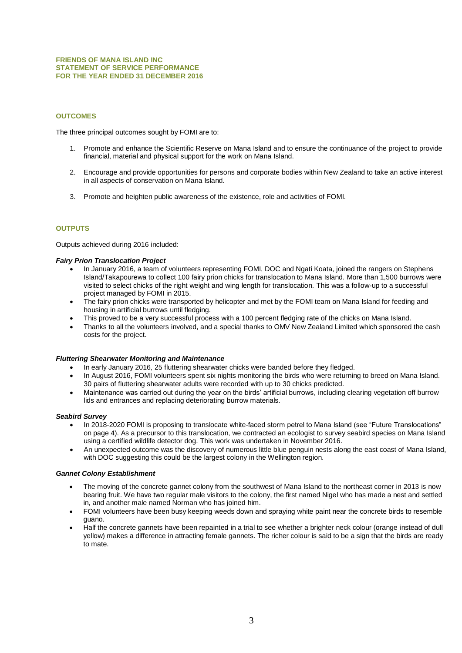#### **FRIENDS OF MANA ISLAND INC STATEMENT OF SERVICE PERFORMANCE FOR THE YEAR ENDED 31 DECEMBER 2016**

# **OUTCOMES**

The three principal outcomes sought by FOMI are to:

- 1. Promote and enhance the Scientific Reserve on Mana Island and to ensure the continuance of the project to provide financial, material and physical support for the work on Mana Island.
- 2. Encourage and provide opportunities for persons and corporate bodies within New Zealand to take an active interest in all aspects of conservation on Mana Island.
- 3. Promote and heighten public awareness of the existence, role and activities of FOMI.

# **OUTPUTS**

Outputs achieved during 2016 included:

#### *Fairy Prion Translocation Project*

- In January 2016, a team of volunteers representing FOMI, DOC and Ngati Koata, joined the rangers on Stephens Island/Takapourewa to collect 100 fairy prion chicks for translocation to Mana Island. More than 1,500 burrows were visited to select chicks of the right weight and wing length for translocation. This was a follow-up to a successful project managed by FOMI in 2015.
- The fairy prion chicks were transported by helicopter and met by the FOMI team on Mana Island for feeding and housing in artificial burrows until fledging.
- This proved to be a very successful process with a 100 percent fledging rate of the chicks on Mana Island.
- Thanks to all the volunteers involved, and a special thanks to OMV New Zealand Limited which sponsored the cash costs for the project.

#### *Fluttering Shearwater Monitoring and Maintenance*

- In early January 2016, 25 fluttering shearwater chicks were banded before they fledged.
- In August 2016, FOMI volunteers spent six nights monitoring the birds who were returning to breed on Mana Island. 30 pairs of fluttering shearwater adults were recorded with up to 30 chicks predicted.
- Maintenance was carried out during the year on the birds' artificial burrows, including clearing vegetation off burrow lids and entrances and replacing deteriorating burrow materials.

#### *Seabird Survey*

- In 2018-2020 FOMI is proposing to translocate white-faced storm petrel to Mana Island (see "Future Translocations" on page 4). As a precursor to this translocation, we contracted an ecologist to survey seabird species on Mana Island using a certified wildlife detector dog. This work was undertaken in November 2016.
- An unexpected outcome was the discovery of numerous little blue penguin nests along the east coast of Mana Island, with DOC suggesting this could be the largest colony in the Wellington region.

#### *Gannet Colony Establishment*

- The moving of the concrete gannet colony from the southwest of Mana Island to the northeast corner in 2013 is now bearing fruit. We have two regular male visitors to the colony, the first named Nigel who has made a nest and settled in, and another male named Norman who has joined him.
- FOMI volunteers have been busy keeping weeds down and spraying white paint near the concrete birds to resemble guano.
- Half the concrete gannets have been repainted in a trial to see whether a brighter neck colour (orange instead of dull yellow) makes a difference in attracting female gannets. The richer colour is said to be a sign that the birds are ready to mate.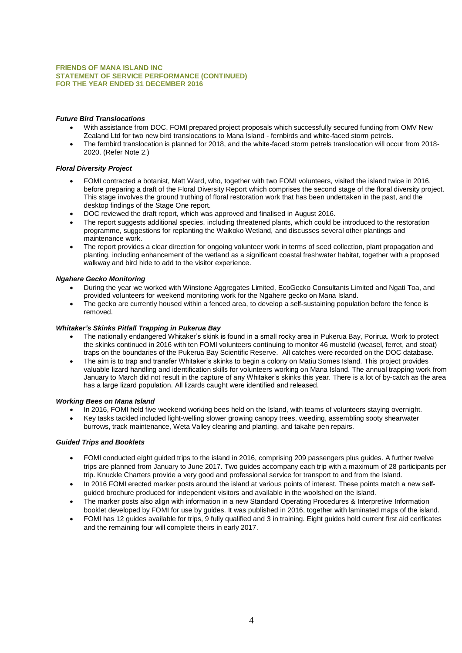#### **FRIENDS OF MANA ISLAND INC STATEMENT OF SERVICE PERFORMANCE (CONTINUED) FOR THE YEAR ENDED 31 DECEMBER 2016**

# *Future Bird Translocations*

- With assistance from DOC, FOMI prepared project proposals which successfully secured funding from OMV New Zealand Ltd for two new bird translocations to Mana Island - fernbirds and white-faced storm petrels.
- The fernbird translocation is planned for 2018, and the white-faced storm petrels translocation will occur from 2018-2020. (Refer Note 2.)

#### *Floral Diversity Project*

- FOMI contracted a botanist, Matt Ward, who, together with two FOMI volunteers, visited the island twice in 2016, before preparing a draft of the Floral Diversity Report which comprises the second stage of the floral diversity project. This stage involves the ground truthing of floral restoration work that has been undertaken in the past, and the desktop findings of the Stage One report.
- DOC reviewed the draft report, which was approved and finalised in August 2016.
- The report suggests additional species, including threatened plants, which could be introduced to the restoration programme, suggestions for replanting the Waikoko Wetland, and discusses several other plantings and maintenance work.
- The report provides a clear direction for ongoing volunteer work in terms of seed collection, plant propagation and planting, including enhancement of the wetland as a significant coastal freshwater habitat, together with a proposed walkway and bird hide to add to the visitor experience.

#### *Ngahere Gecko Monitoring*

- During the year we worked with Winstone Aggregates Limited, EcoGecko Consultants Limited and Ngati Toa, and provided volunteers for weekend monitoring work for the Ngahere gecko on Mana Island.
- The gecko are currently housed within a fenced area, to develop a self-sustaining population before the fence is removed.

# *Whitaker's Skinks Pitfall Trapping in Pukerua Bay*

- The nationally endangered Whitaker's skink is found in a small rocky area in Pukerua Bay, Porirua. Work to protect the skinks continued in 2016 with ten FOMI volunteers continuing to monitor 46 mustelid (weasel, ferret, and stoat) traps on the boundaries of the Pukerua Bay Scientific Reserve. All catches were recorded on the DOC database.
- The aim is to trap and transfer Whitaker's skinks to begin a colony on Matiu Somes Island. This project provides valuable lizard handling and identification skills for volunteers working on Mana Island. The annual trapping work from January to March did not result in the capture of any Whitaker's skinks this year. There is a lot of by-catch as the area has a large lizard population. All lizards caught were identified and released.

#### *Working Bees on Mana Island*

- In 2016, FOMI held five weekend working bees held on the Island, with teams of volunteers staying overnight.
- Key tasks tackled included light-welling slower growing canopy trees, weeding, assembling sooty shearwater burrows, track maintenance, Weta Valley clearing and planting, and takahe pen repairs.

# *Guided Trips and Booklets*

- FOMI conducted eight guided trips to the island in 2016, comprising 209 passengers plus guides. A further twelve trips are planned from January to June 2017. Two guides accompany each trip with a maximum of 28 participants per trip. Knuckle Charters provide a very good and professional service for transport to and from the Island.
- In 2016 FOMI erected marker posts around the island at various points of interest. These points match a new selfguided brochure produced for independent visitors and available in the woolshed on the island.
- The marker posts also align with information in a new Standard Operating Procedures & Interpretive Information booklet developed by FOMI for use by guides. It was published in 2016, together with laminated maps of the island.
- FOMI has 12 guides available for trips, 9 fully qualified and 3 in training. Eight guides hold current first aid cerificates and the remaining four will complete theirs in early 2017.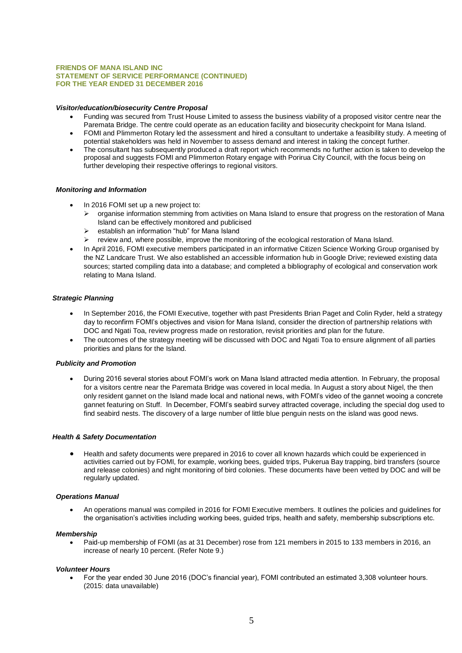#### **FRIENDS OF MANA ISLAND INC STATEMENT OF SERVICE PERFORMANCE (CONTINUED) FOR THE YEAR ENDED 31 DECEMBER 2016**

#### *Visitor/education/biosecurity Centre Proposal*

- Funding was secured from Trust House Limited to assess the business viability of a proposed visitor centre near the Paremata Bridge. The centre could operate as an education facility and biosecurity checkpoint for Mana Island.
- FOMI and Plimmerton Rotary led the assessment and hired a consultant to undertake a feasibility study. A meeting of potential stakeholders was held in November to assess demand and interest in taking the concept further.
- The consultant has subsequently produced a draft report which recommends no further action is taken to develop the proposal and suggests FOMI and Plimmerton Rotary engage with Porirua City Council, with the focus being on further developing their respective offerings to regional visitors.

#### *Monitoring and Information*

- In 2016 FOMI set up a new project to:
	- ➢ organise information stemming from activities on Mana Island to ensure that progress on the restoration of Mana Island can be effectively monitored and publicised
	- establish an information "hub" for Mana Island
	- ➢ review and, where possible, improve the monitoring of the ecological restoration of Mana Island.
- In April 2016, FOMI executive members participated in an informative Citizen Science Working Group organised by the NZ Landcare Trust. We also established an accessible information hub in Google Drive; reviewed existing data sources; started compiling data into a database; and completed a bibliography of ecological and conservation work relating to Mana Island.

#### *Strategic Planning*

- In September 2016, the FOMI Executive, together with past Presidents Brian Paget and Colin Ryder, held a strategy day to reconfirm FOMI's objectives and vision for Mana Island, consider the direction of partnership relations with DOC and Ngati Toa, review progress made on restoration, revisit priorities and plan for the future.
- The outcomes of the strategy meeting will be discussed with DOC and Ngati Toa to ensure alignment of all parties priorities and plans for the Island.

#### *Publicity and Promotion*

• During 2016 several stories about FOMI's work on Mana Island attracted media attention. In February, the proposal for a visitors centre near the Paremata Bridge was covered in local media. In August a story about Nigel, the then only resident gannet on the Island made local and national news, with FOMI's video of the gannet wooing a concrete gannet featuring on Stuff. In December, FOMI's seabird survey attracted coverage, including the special dog used to find seabird nests. The discovery of a large number of little blue penguin nests on the island was good news.

#### *Health & Safety Documentation*

• Health and safety documents were prepared in 2016 to cover all known hazards which could be experienced in activities carried out by FOMI, for example, working bees, guided trips, Pukerua Bay trapping, bird transfers (source and release colonies) and night monitoring of bird colonies. These documents have been vetted by DOC and will be regularly updated.

#### *Operations Manual*

• An operations manual was compiled in 2016 for FOMI Executive members. It outlines the policies and guidelines for the organisation's activities including working bees, guided trips, health and safety, membership subscriptions etc.

#### *Membership*

• Paid-up membership of FOMI (as at 31 December) rose from 121 members in 2015 to 133 members in 2016, an increase of nearly 10 percent. (Refer Note 9.)

#### *Volunteer Hours*

• For the year ended 30 June 2016 (DOC's financial year), FOMI contributed an estimated 3,308 volunteer hours. (2015: data unavailable)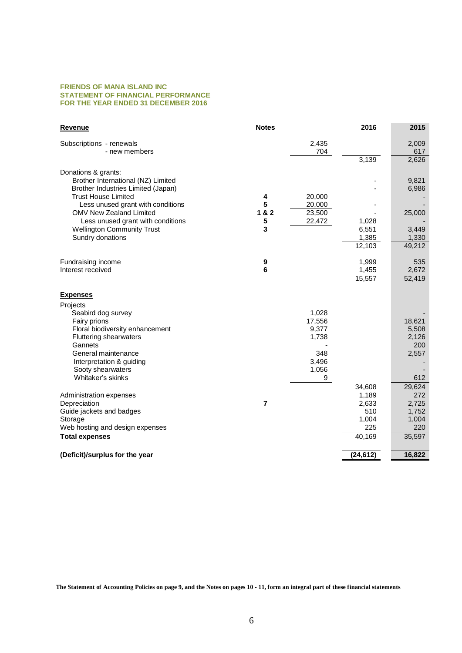#### **FRIENDS OF MANA ISLAND INC STATEMENT OF FINANCIAL PERFORMANCE FOR THE YEAR ENDED 31 DECEMBER 2016**

| Revenue                                               | <b>Notes</b>   |                 | 2016            | 2015            |
|-------------------------------------------------------|----------------|-----------------|-----------------|-----------------|
| Subscriptions - renewals                              |                | 2,435           |                 | 2,009           |
| - new members                                         |                | 704             |                 | 617             |
|                                                       |                |                 | 3,139           | 2,626           |
| Donations & grants:                                   |                |                 |                 |                 |
| Brother International (NZ) Limited                    |                |                 |                 | 9,821           |
| Brother Industries Limited (Japan)                    |                |                 |                 | 6,986           |
| <b>Trust House Limited</b>                            | 4              | 20,000          |                 |                 |
| Less unused grant with conditions                     | 5              | 20,000          |                 |                 |
| OMV New Zealand Limited                               | 1&8.2          | 23,500          |                 | 25,000          |
| Less unused grant with conditions                     | 5<br>3         | 22,472          | 1,028           |                 |
| <b>Wellington Community Trust</b><br>Sundry donations |                |                 | 6,551           | 3,449<br>1,330  |
|                                                       |                |                 | 1,385<br>12,103 | 49,212          |
|                                                       |                |                 |                 |                 |
| Fundraising income                                    | 9              |                 | 1,999           | 535             |
| Interest received                                     | 6              |                 | 1,455           | 2,672           |
|                                                       |                |                 | 15,557          | 52,419          |
| <b>Expenses</b>                                       |                |                 |                 |                 |
| Projects                                              |                |                 |                 |                 |
| Seabird dog survey                                    |                | 1,028           |                 |                 |
| Fairy prions<br>Floral biodiversity enhancement       |                | 17,556<br>9,377 |                 | 18,621<br>5,508 |
| <b>Fluttering shearwaters</b>                         |                | 1,738           |                 | 2,126           |
| Gannets                                               |                |                 |                 | 200             |
| General maintenance                                   |                | 348             |                 | 2,557           |
| Interpretation & guiding                              |                | 3,496           |                 |                 |
| Sooty shearwaters                                     |                | 1,056           |                 |                 |
| Whitaker's skinks                                     |                | 9               |                 | 612             |
|                                                       |                |                 | 34,608          | 29,624          |
| Administration expenses                               |                |                 | 1,189           | 272             |
| Depreciation                                          | $\overline{7}$ |                 | 2,633           | 2,725           |
| Guide jackets and badges                              |                |                 | 510             | 1,752           |
| Storage                                               |                |                 | 1,004           | 1,004           |
| Web hosting and design expenses                       |                |                 | 225             | 220             |
| <b>Total expenses</b>                                 |                |                 | 40,169          | 35,597          |
| (Deficit)/surplus for the year                        |                |                 | (24, 612)       | 16,822          |
|                                                       |                |                 |                 |                 |

**The Statement of Accounting Policies on page 9, and the Notes on pages 10 - 11, form an integral part of these financial statements**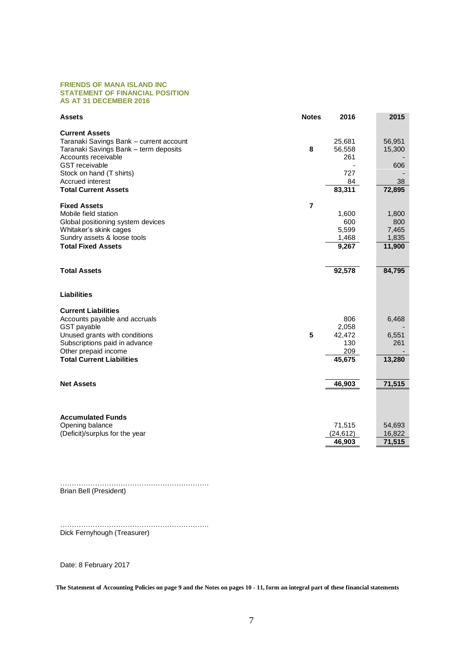#### **FRIENDS OF MANA ISLAND INC STATEMENT OF FINANCIAL POSITION AS AT 31 DECEMBER 2016**

| <b>Assets</b>                           | <b>Notes</b>   | 2016      | 2015   |
|-----------------------------------------|----------------|-----------|--------|
| <b>Current Assets</b>                   |                |           |        |
| Taranaki Savings Bank - current account |                | 25,681    | 56,951 |
| Taranaki Savings Bank - term deposits   | 8              | 56,558    | 15,300 |
| Accounts receivable                     |                | 261       |        |
| <b>GST</b> receivable                   |                |           | 606    |
| Stock on hand (T shirts)                |                | 727       |        |
| Accrued interest                        |                | 84        | 38     |
| <b>Total Current Assets</b>             |                | 83,311    | 72,895 |
| <b>Fixed Assets</b>                     | $\overline{7}$ |           |        |
| Mobile field station                    |                | 1,600     | 1,800  |
| Global positioning system devices       |                | 600       | 800    |
| Whitaker's skink cages                  |                | 5,599     | 7,465  |
| Sundry assets & loose tools             |                | 1,468     | 1,835  |
| <b>Total Fixed Assets</b>               |                | 9,267     | 11,900 |
|                                         |                |           |        |
| <b>Total Assets</b>                     |                | 92,578    | 84,795 |
| <b>Liabilities</b>                      |                |           |        |
| <b>Current Liabilities</b>              |                |           |        |
| Accounts payable and accruals           |                | 806       | 6,468  |
| GST payable                             |                | 2,058     |        |
| Unused grants with conditions           | 5              | 42,472    | 6,551  |
| Subscriptions paid in advance           |                | 130       | 261    |
| Other prepaid income                    |                | 209       |        |
| <b>Total Current Liabilities</b>        |                | 45,675    | 13,280 |
|                                         |                |           |        |
| <b>Net Assets</b>                       |                | 46,903    | 71,515 |
|                                         |                |           |        |
|                                         |                |           |        |
| <b>Accumulated Funds</b>                |                |           |        |
| Opening balance                         |                | 71,515    | 54,693 |
| (Deficit)/surplus for the year          |                | (24, 612) | 16,822 |
|                                         |                | 46,903    | 71,515 |

………………………………………………………. Brian Bell (President)

…………………………………………………………… Dick Fernyhough (Treasurer)

Date: 8 February 2017

**The Statement of Accounting Policies on page 9 and the Notes on pages 10 - 11, form an integral part of these financial statements**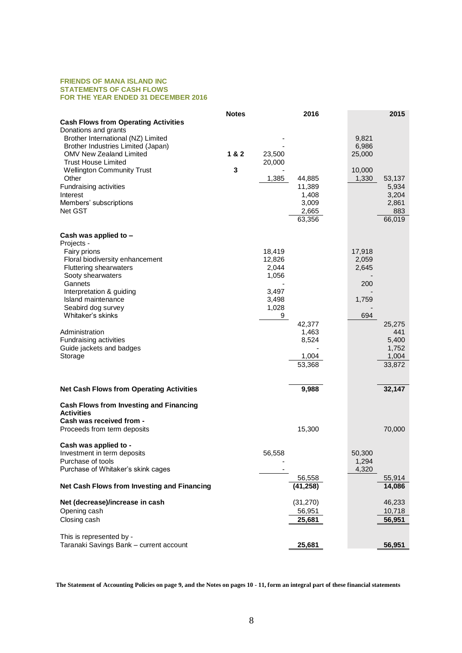#### **FRIENDS OF MANA ISLAND INC STATEMENTS OF CASH FLOWS FOR THE YEAR ENDED 31 DECEMBER 2016**

|                                                              | <b>Notes</b> |                  | 2016      |                 | 2015   |
|--------------------------------------------------------------|--------------|------------------|-----------|-----------------|--------|
| <b>Cash Flows from Operating Activities</b>                  |              |                  |           |                 |        |
| Donations and grants                                         |              |                  |           |                 |        |
| Brother International (NZ) Limited                           |              |                  |           | 9,821           |        |
| Brother Industries Limited (Japan)                           | 1 & 2        |                  |           | 6,986           |        |
| <b>OMV New Zealand Limited</b><br><b>Trust House Limited</b> |              | 23,500<br>20,000 |           | 25,000          |        |
| <b>Wellington Community Trust</b>                            | 3            |                  |           | 10,000          |        |
| Other                                                        |              | 1,385            | 44,885    | 1,330           | 53,137 |
| Fundraising activities                                       |              |                  | 11,389    |                 | 5,934  |
| Interest                                                     |              |                  | 1,408     |                 | 3,204  |
| Members' subscriptions                                       |              |                  | 3,009     |                 | 2,861  |
| Net GST                                                      |              |                  | 2,665     |                 | 883    |
|                                                              |              |                  | 63,356    |                 | 66,019 |
|                                                              |              |                  |           |                 |        |
| Cash was applied to -<br>Projects -                          |              |                  |           |                 |        |
| Fairy prions                                                 |              | 18,419           |           | 17,918          |        |
| Floral biodiversity enhancement                              |              | 12,826           |           | 2,059           |        |
| Fluttering shearwaters                                       |              | 2,044            |           | 2,645           |        |
| Sooty shearwaters                                            |              | 1,056            |           |                 |        |
| Gannets                                                      |              |                  |           | 200             |        |
| Interpretation & guiding                                     |              | 3,497            |           |                 |        |
| Island maintenance                                           |              | 3,498            |           | 1,759           |        |
| Seabird dog survey<br>Whitaker's skinks                      |              | 1,028<br>9       |           | 694             |        |
|                                                              |              |                  | 42,377    |                 | 25,275 |
| Administration                                               |              |                  | 1,463     |                 | 441    |
| Fundraising activities                                       |              |                  | 8,524     |                 | 5,400  |
| Guide jackets and badges                                     |              |                  |           |                 | 1,752  |
| Storage                                                      |              |                  | 1,004     |                 | 1,004  |
|                                                              |              |                  | 53,368    |                 | 33,872 |
|                                                              |              |                  |           |                 |        |
| <b>Net Cash Flows from Operating Activities</b>              |              |                  | 9,988     |                 | 32,147 |
| <b>Cash Flows from Investing and Financing</b>               |              |                  |           |                 |        |
| <b>Activities</b>                                            |              |                  |           |                 |        |
| Cash was received from -                                     |              |                  |           |                 |        |
| Proceeds from term deposits                                  |              |                  | 15,300    |                 | 70,000 |
|                                                              |              |                  |           |                 |        |
| Cash was applied to -                                        |              |                  |           |                 |        |
| Investment in term deposits<br>Purchase of tools             |              | 56,558           |           | 50,300<br>1,294 |        |
| Purchase of Whitaker's skink cages                           |              |                  |           | 4,320           |        |
|                                                              |              |                  | 56,558    |                 | 55,914 |
| Net Cash Flows from Investing and Financing                  |              |                  | (41, 258) |                 | 14,086 |
| Net (decrease)/increase in cash                              |              |                  | (31, 270) |                 | 46,233 |
| Opening cash                                                 |              |                  | 56,951    |                 | 10,718 |
| Closing cash                                                 |              |                  | 25,681    |                 | 56,951 |
|                                                              |              |                  |           |                 |        |
| This is represented by -                                     |              |                  |           |                 |        |
| Taranaki Savings Bank - current account                      |              |                  | 25,681    |                 | 56,951 |

**The Statement of Accounting Policies on page 9, and the Notes on pages 10 - 11, form an integral part of these financial statements**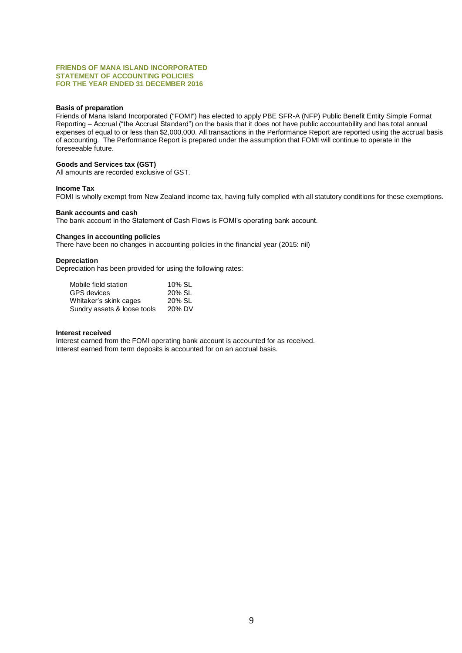#### **FRIENDS OF MANA ISLAND INCORPORATED STATEMENT OF ACCOUNTING POLICIES FOR THE YEAR ENDED 31 DECEMBER 2016**

# **Basis of preparation**

Friends of Mana Island Incorporated ("FOMI") has elected to apply PBE SFR-A (NFP) Public Benefit Entity Simple Format Reporting – Accrual ("the Accrual Standard") on the basis that it does not have public accountability and has total annual expenses of equal to or less than \$2,000,000. All transactions in the Performance Report are reported using the accrual basis of accounting. The Performance Report is prepared under the assumption that FOMI will continue to operate in the foreseeable future.

# **Goods and Services tax (GST)**

All amounts are recorded exclusive of GST.

#### **Income Tax**

FOMI is wholly exempt from New Zealand income tax, having fully complied with all statutory conditions for these exemptions.

#### **Bank accounts and cash**

The bank account in the Statement of Cash Flows is FOMI's operating bank account.

#### **Changes in accounting policies**

There have been no changes in accounting policies in the financial year (2015: nil)

#### **Depreciation**

Depreciation has been provided for using the following rates:

| Mobile field station        | 10% SL |
|-----------------------------|--------|
| GPS devices                 | 20% SL |
| Whitaker's skink cages      | 20% SL |
| Sundry assets & loose tools | 20% DV |

#### **Interest received**

Interest earned from the FOMI operating bank account is accounted for as received. Interest earned from term deposits is accounted for on an accrual basis.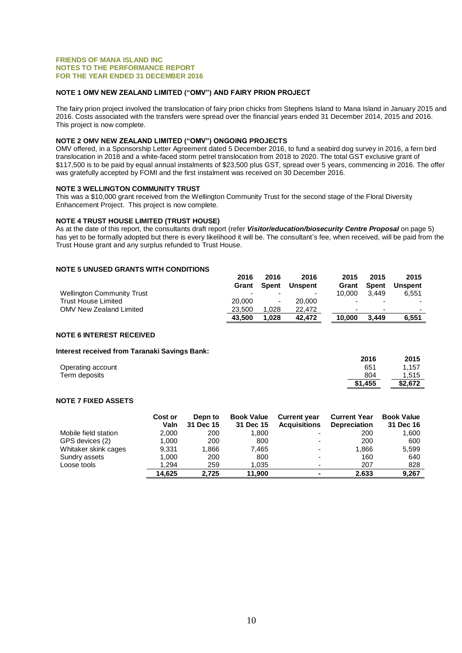#### **FRIENDS OF MANA ISLAND INC NOTES TO THE PERFORMANCE REPORT FOR THE YEAR ENDED 31 DECEMBER 2016**

# **NOTE 1 OMV NEW ZEALAND LIMITED ("OMV") AND FAIRY PRION PROJECT**

The fairy prion project involved the translocation of fairy prion chicks from Stephens Island to Mana Island in January 2015 and 2016. Costs associated with the transfers were spread over the financial years ended 31 December 2014, 2015 and 2016. This project is now complete.

# **NOTE 2 OMV NEW ZEALAND LIMITED ("OMV") ONGOING PROJECTS**

OMV offered, in a Sponsorship Letter Agreement dated 5 December 2016, to fund a seabird dog survey in 2016, a fern bird translocation in 2018 and a white-faced storm petrel translocation from 2018 to 2020. The total GST exclusive grant of \$117,500 is to be paid by equal annual instalments of \$23,500 plus GST, spread over 5 years, commencing in 2016. The offer was gratefully accepted by FOMI and the first instalment was received on 30 December 2016.

# **NOTE 3 WELLINGTON COMMUNITY TRUST**

This was a \$10,000 grant received from the Wellington Community Trust for the second stage of the Floral Diversity Enhancement Project. This project is now complete.

# **NOTE 4 TRUST HOUSE LIMITED (TRUST HOUSE)**

As at the date of this report, the consultants draft report (refer *Visitor/education/biosecurity Centre Proposal* on page 5) has yet to be formally adopted but there is every likelihood it will be. The consultant's fee, when received, will be paid from the Trust House grant and any surplus refunded to Trust House.

# **NOTE 5 UNUSED GRANTS WITH CONDITIONS**

|                                   | 2016                     | 2016                     | 2016    | 2015                     | 2015                     | 2015                     |
|-----------------------------------|--------------------------|--------------------------|---------|--------------------------|--------------------------|--------------------------|
|                                   | Grant                    | Spent                    | Unspent | Grant                    | Spent                    | Unspent                  |
| <b>Wellington Community Trust</b> | $\overline{\phantom{0}}$ |                          | ۰       | 10.000                   | 3.449                    | 6.551                    |
| <b>Trust House Limited</b>        | 20,000                   | $\overline{\phantom{0}}$ | 20,000  | $\overline{\phantom{0}}$ | $\overline{\phantom{0}}$ | $\overline{\phantom{0}}$ |
| OMV New Zealand Limited           | 23.500                   | 1.028                    | 22.472  | -                        | $\overline{\phantom{0}}$ | $\overline{\phantom{a}}$ |
|                                   | 43.500                   | 1.028                    | 42.472  | 10.000                   | 3.449                    | 6,551                    |

# **NOTE 6 INTEREST RECEIVED**

# **Interest received from Taranaki Savings Bank:**

|                   | 2016    | 2015    |
|-------------------|---------|---------|
| Operating account | 651     | 1.157   |
| Term deposits     | 804     | 1.515   |
|                   | \$1,455 | \$2,672 |

#### **NOTE 7 FIXED ASSETS**

|                      | Cost or | Depn to   | <b>Book Value</b> | <b>Current year</b>      | <b>Current Year</b> | <b>Book Value</b> |
|----------------------|---------|-----------|-------------------|--------------------------|---------------------|-------------------|
|                      | Valn    | 31 Dec 15 | 31 Dec 15         | <b>Acquisitions</b>      | <b>Depreciation</b> | 31 Dec 16         |
| Mobile field station | 2.000   | 200       | 1.800             | $\overline{\phantom{0}}$ | 200                 | 1.600             |
| GPS devices (2)      | 1.000   | 200       | 800               | $\overline{\phantom{0}}$ | 200                 | 600               |
| Whitaker skink cages | 9.331   | 1.866     | 7.465             | $\overline{\phantom{0}}$ | 1.866               | 5.599             |
| Sundry assets        | 1.000   | 200       | 800               | $\overline{\phantom{0}}$ | 160                 | 640               |
| Loose tools          | 1.294   | 259       | 1,035             | $\overline{\phantom{0}}$ | 207                 | 828               |
|                      | 14.625  | 2.725     | 11.900            |                          | 2.633               | 9.267             |